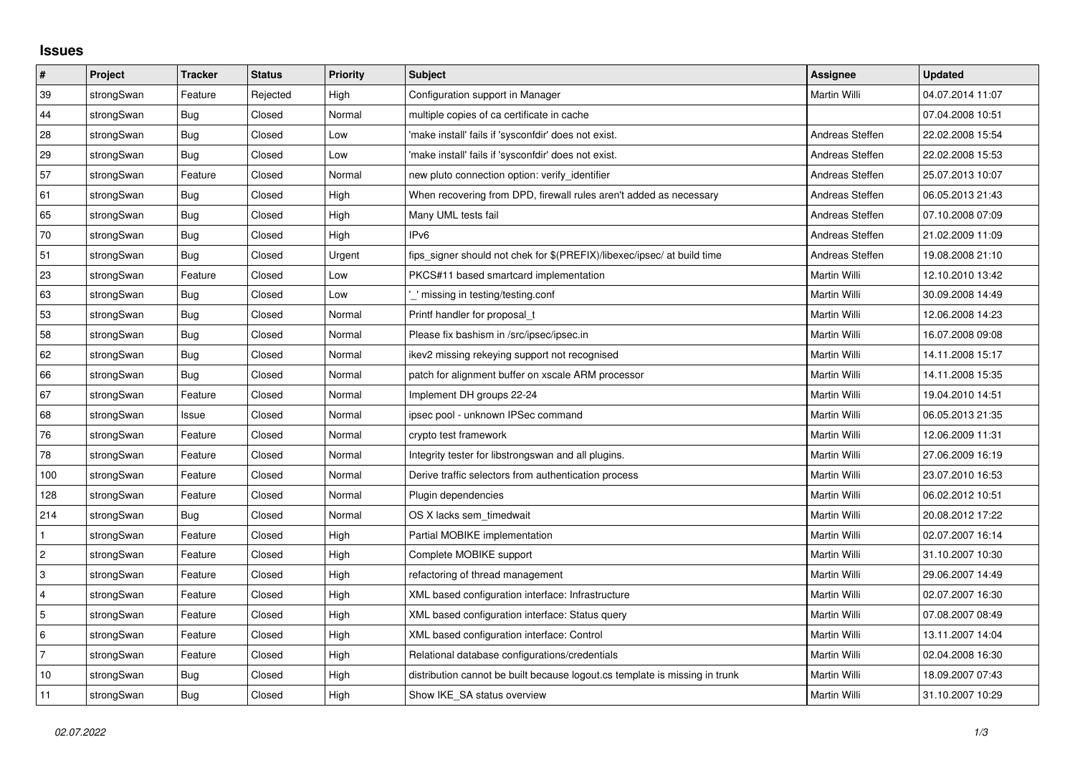## **Issues**

| $\vert$ #      | Project    | <b>Tracker</b> | <b>Status</b> | <b>Priority</b> | <b>Subject</b>                                                              | Assignee        | <b>Updated</b>   |
|----------------|------------|----------------|---------------|-----------------|-----------------------------------------------------------------------------|-----------------|------------------|
| 39             | strongSwan | Feature        | Rejected      | High            | Configuration support in Manager                                            | Martin Willi    | 04.07.2014 11:07 |
| 44             | strongSwan | Bug            | Closed        | Normal          | multiple copies of ca certificate in cache                                  |                 | 07.04.2008 10:51 |
| 28             | strongSwan | Bug            | Closed        | Low             | 'make install' fails if 'sysconfdir' does not exist.                        | Andreas Steffen | 22.02.2008 15:54 |
| 29             | strongSwan | Bug            | Closed        | Low             | 'make install' fails if 'sysconfdir' does not exist.                        | Andreas Steffen | 22.02.2008 15:53 |
| 57             | strongSwan | Feature        | Closed        | Normal          | new pluto connection option: verify identifier                              | Andreas Steffen | 25.07.2013 10:07 |
| 61             | strongSwan | Bug            | Closed        | High            | When recovering from DPD, firewall rules aren't added as necessary          | Andreas Steffen | 06.05.2013 21:43 |
| 65             | strongSwan | Bug            | Closed        | High            | Many UML tests fail                                                         | Andreas Steffen | 07.10.2008 07:09 |
| 70             | strongSwan | <b>Bug</b>     | Closed        | High            | IPv6                                                                        | Andreas Steffen | 21.02.2009 11:09 |
| 51             | strongSwan | Bug            | Closed        | Urgent          | fips_signer should not chek for \$(PREFIX)/libexec/ipsec/ at build time     | Andreas Steffen | 19.08.2008 21:10 |
| 23             | strongSwan | Feature        | Closed        | Low             | PKCS#11 based smartcard implementation                                      | Martin Willi    | 12.10.2010 13:42 |
| 63             | strongSwan | <b>Bug</b>     | Closed        | Low             | missing in testing/testing.conf                                             | Martin Willi    | 30.09.2008 14:49 |
| 53             | strongSwan | Bug            | Closed        | Normal          | Printf handler for proposal t                                               | Martin Willi    | 12.06.2008 14:23 |
| 58             | strongSwan | Bug            | Closed        | Normal          | Please fix bashism in /src/ipsec/ipsec.in                                   | Martin Willi    | 16.07.2008 09:08 |
| 62             | strongSwan | Bug            | Closed        | Normal          | ikev2 missing rekeying support not recognised                               | Martin Willi    | 14.11.2008 15:17 |
| 66             | strongSwan | Bug            | Closed        | Normal          | patch for alignment buffer on xscale ARM processor                          | Martin Willi    | 14.11.2008 15:35 |
| 67             | strongSwan | Feature        | Closed        | Normal          | Implement DH groups 22-24                                                   | Martin Willi    | 19.04.2010 14:51 |
| 68             | strongSwan | Issue          | Closed        | Normal          | ipsec pool - unknown IPSec command                                          | Martin Willi    | 06.05.2013 21:35 |
| 76             | strongSwan | Feature        | Closed        | Normal          | crypto test framework                                                       | Martin Willi    | 12.06.2009 11:31 |
| 78             | strongSwan | Feature        | Closed        | Normal          | Integrity tester for libstrongswan and all plugins.                         | Martin Willi    | 27.06.2009 16:19 |
| 100            | strongSwan | Feature        | Closed        | Normal          | Derive traffic selectors from authentication process                        | Martin Willi    | 23.07.2010 16:53 |
| 128            | strongSwan | Feature        | Closed        | Normal          | Plugin dependencies                                                         | Martin Willi    | 06.02.2012 10:51 |
| 214            | strongSwan | Bug            | Closed        | Normal          | OS X lacks sem timedwait                                                    | Martin Willi    | 20.08.2012 17:22 |
| $\mathbf{1}$   | strongSwan | Feature        | Closed        | High            | Partial MOBIKE implementation                                               | Martin Willi    | 02.07.2007 16:14 |
| $\overline{2}$ | strongSwan | Feature        | Closed        | High            | Complete MOBIKE support                                                     | Martin Willi    | 31.10.2007 10:30 |
| 3              | strongSwan | Feature        | Closed        | High            | refactoring of thread management                                            | Martin Willi    | 29.06.2007 14:49 |
| $\overline{4}$ | strongSwan | Feature        | Closed        | High            | XML based configuration interface: Infrastructure                           | Martin Willi    | 02.07.2007 16:30 |
| 5              | strongSwan | Feature        | Closed        | High            | XML based configuration interface: Status query                             | Martin Willi    | 07.08.2007 08:49 |
| 6              | strongSwan | Feature        | Closed        | High            | XML based configuration interface: Control                                  | Martin Willi    | 13.11.2007 14:04 |
| $\overline{7}$ | strongSwan | Feature        | Closed        | High            | Relational database configurations/credentials                              | Martin Willi    | 02.04.2008 16:30 |
| 10             | strongSwan | Bug            | Closed        | High            | distribution cannot be built because logout.cs template is missing in trunk | Martin Willi    | 18.09.2007 07:43 |
| 11             | strongSwan | Bug            | Closed        | High            | Show IKE SA status overview                                                 | Martin Willi    | 31.10.2007 10:29 |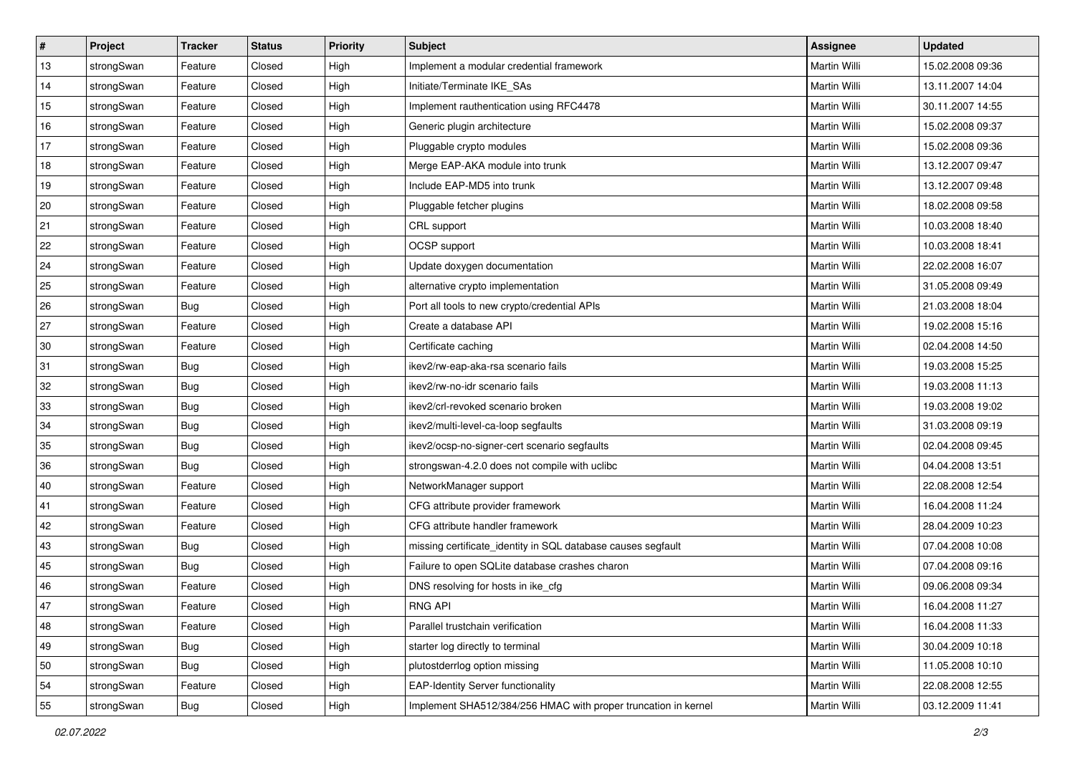| $\vert$ # | Project    | <b>Tracker</b> | <b>Status</b> | <b>Priority</b> | <b>Subject</b>                                                 | Assignee            | <b>Updated</b>   |
|-----------|------------|----------------|---------------|-----------------|----------------------------------------------------------------|---------------------|------------------|
| 13        | strongSwan | Feature        | Closed        | High            | Implement a modular credential framework                       | Martin Willi        | 15.02.2008 09:36 |
| 14        | strongSwan | Feature        | Closed        | High            | Initiate/Terminate IKE_SAs                                     | <b>Martin Willi</b> | 13.11.2007 14:04 |
| 15        | strongSwan | Feature        | Closed        | High            | Implement rauthentication using RFC4478                        | Martin Willi        | 30.11.2007 14:55 |
| 16        | strongSwan | Feature        | Closed        | High            | Generic plugin architecture                                    | Martin Willi        | 15.02.2008 09:37 |
| 17        | strongSwan | Feature        | Closed        | High            | Pluggable crypto modules                                       | Martin Willi        | 15.02.2008 09:36 |
| 18        | strongSwan | Feature        | Closed        | High            | Merge EAP-AKA module into trunk                                | Martin Willi        | 13.12.2007 09:47 |
| 19        | strongSwan | Feature        | Closed        | High            | Include EAP-MD5 into trunk                                     | Martin Willi        | 13.12.2007 09:48 |
| 20        | strongSwan | Feature        | Closed        | High            | Pluggable fetcher plugins                                      | Martin Willi        | 18.02.2008 09:58 |
| 21        | strongSwan | Feature        | Closed        | High            | CRL support                                                    | Martin Willi        | 10.03.2008 18:40 |
| 22        | strongSwan | Feature        | Closed        | High            | OCSP support                                                   | Martin Willi        | 10.03.2008 18:41 |
| 24        | strongSwan | Feature        | Closed        | High            | Update doxygen documentation                                   | Martin Willi        | 22.02.2008 16:07 |
| 25        | strongSwan | Feature        | Closed        | High            | alternative crypto implementation                              | Martin Willi        | 31.05.2008 09:49 |
| 26        | strongSwan | Bug            | Closed        | High            | Port all tools to new crypto/credential APIs                   | <b>Martin Willi</b> | 21.03.2008 18:04 |
| 27        | strongSwan | Feature        | Closed        | High            | Create a database API                                          | Martin Willi        | 19.02.2008 15:16 |
| $30\,$    | strongSwan | Feature        | Closed        | High            | Certificate caching                                            | <b>Martin Willi</b> | 02.04.2008 14:50 |
| 31        | strongSwan | <b>Bug</b>     | Closed        | High            | ikev2/rw-eap-aka-rsa scenario fails                            | Martin Willi        | 19.03.2008 15:25 |
| 32        | strongSwan | <b>Bug</b>     | Closed        | High            | ikev2/rw-no-idr scenario fails                                 | <b>Martin Willi</b> | 19.03.2008 11:13 |
| 33        | strongSwan | Bug            | Closed        | High            | ikev2/crl-revoked scenario broken                              | Martin Willi        | 19.03.2008 19:02 |
| 34        | strongSwan | Bug            | Closed        | High            | ikev2/multi-level-ca-loop segfaults                            | Martin Willi        | 31.03.2008 09:19 |
| 35        | strongSwan | <b>Bug</b>     | Closed        | High            | ikev2/ocsp-no-signer-cert scenario segfaults                   | <b>Martin Willi</b> | 02.04.2008 09:45 |
| 36        | strongSwan | Bug            | Closed        | High            | strongswan-4.2.0 does not compile with uclibe                  | Martin Willi        | 04.04.2008 13:51 |
| 40        | strongSwan | Feature        | Closed        | High            | NetworkManager support                                         | Martin Willi        | 22.08.2008 12:54 |
| 41        | strongSwan | Feature        | Closed        | High            | CFG attribute provider framework                               | Martin Willi        | 16.04.2008 11:24 |
| 42        | strongSwan | Feature        | Closed        | High            | CFG attribute handler framework                                | Martin Willi        | 28.04.2009 10:23 |
| 43        | strongSwan | <b>Bug</b>     | Closed        | High            | missing certificate_identity in SQL database causes segfault   | Martin Willi        | 07.04.2008 10:08 |
| 45        | strongSwan | Bug            | Closed        | High            | Failure to open SQLite database crashes charon                 | Martin Willi        | 07.04.2008 09:16 |
| 46        | strongSwan | Feature        | Closed        | High            | DNS resolving for hosts in ike_cfg                             | Martin Willi        | 09.06.2008 09:34 |
| $47\,$    | strongSwan | Feature        | Closed        | High            | <b>RNG API</b>                                                 | Martin Willi        | 16.04.2008 11:27 |
| 48        | strongSwan | Feature        | Closed        | High            | Parallel trustchain verification                               | Martin Willi        | 16.04.2008 11:33 |
| 49        | strongSwan | Bug            | Closed        | High            | starter log directly to terminal                               | Martin Willi        | 30.04.2009 10:18 |
| 50        | strongSwan | <b>Bug</b>     | Closed        | High            | plutostderrlog option missing                                  | Martin Willi        | 11.05.2008 10:10 |
| 54        | strongSwan | Feature        | Closed        | High            | <b>EAP-Identity Server functionality</b>                       | Martin Willi        | 22.08.2008 12:55 |
| 55        | strongSwan | <b>Bug</b>     | Closed        | High            | Implement SHA512/384/256 HMAC with proper truncation in kernel | Martin Willi        | 03.12.2009 11:41 |